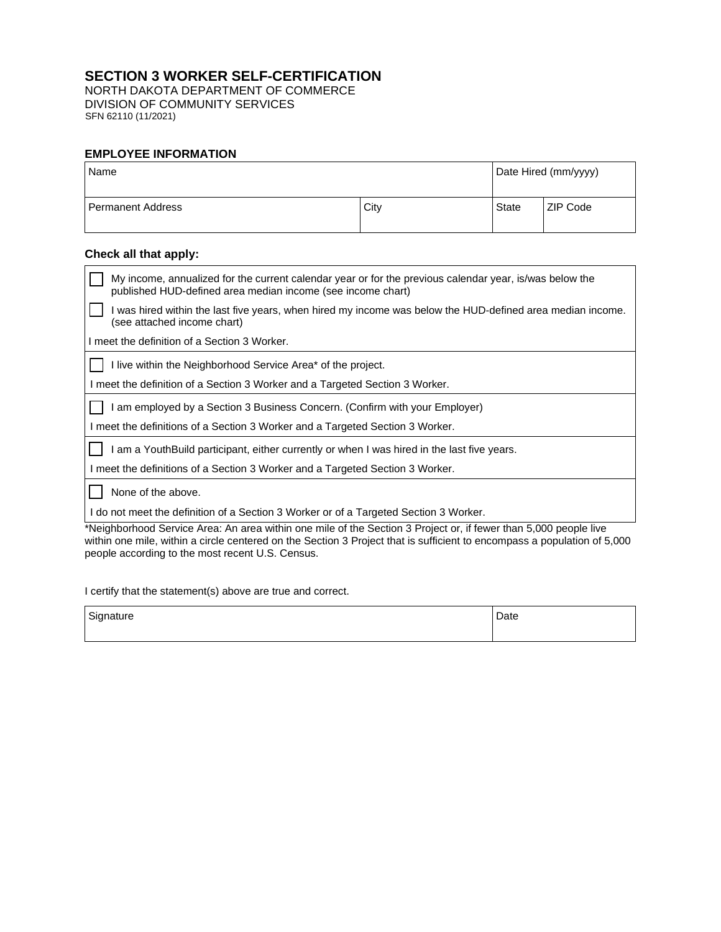## **SECTION 3 WORKER SELF-CERTIFICATION**

NORTH DAKOTA DEPARTMENT OF COMMERCE DIVISION OF COMMUNITY SERVICES SFN 62110 (11/2021)

### **EMPLOYEE INFORMATION**

| Name              |      | Date Hired (mm/yyyy) |                 |
|-------------------|------|----------------------|-----------------|
| Permanent Address | City | State                | <b>ZIP Code</b> |

# **Check all that apply:**

| My income, annualized for the current calendar year or for the previous calendar year, is/was below the<br>published HUD-defined area median income (see income chart)                                                                       |  |  |
|----------------------------------------------------------------------------------------------------------------------------------------------------------------------------------------------------------------------------------------------|--|--|
| I was hired within the last five years, when hired my income was below the HUD-defined area median income.<br>(see attached income chart)                                                                                                    |  |  |
| I meet the definition of a Section 3 Worker.                                                                                                                                                                                                 |  |  |
| I live within the Neighborhood Service Area* of the project.                                                                                                                                                                                 |  |  |
| I meet the definition of a Section 3 Worker and a Targeted Section 3 Worker.                                                                                                                                                                 |  |  |
| am employed by a Section 3 Business Concern. (Confirm with your Employer)                                                                                                                                                                    |  |  |
| I meet the definitions of a Section 3 Worker and a Targeted Section 3 Worker.                                                                                                                                                                |  |  |
| I am a YouthBuild participant, either currently or when I was hired in the last five years.                                                                                                                                                  |  |  |
| I meet the definitions of a Section 3 Worker and a Targeted Section 3 Worker.                                                                                                                                                                |  |  |
| None of the above.                                                                                                                                                                                                                           |  |  |
| I do not meet the definition of a Section 3 Worker or of a Targeted Section 3 Worker.                                                                                                                                                        |  |  |
| *Neighborhood Service Area: An area within one mile of the Section 3 Project or, if fewer than 5,000 people live<br>within one mile, within a circle centered on the Section 3 Project that is sufficient to encompass a population of 5,000 |  |  |

I certify that the statement(s) above are true and correct.

people according to the most recent U.S. Census.

| Signature | Date |
|-----------|------|
|           |      |